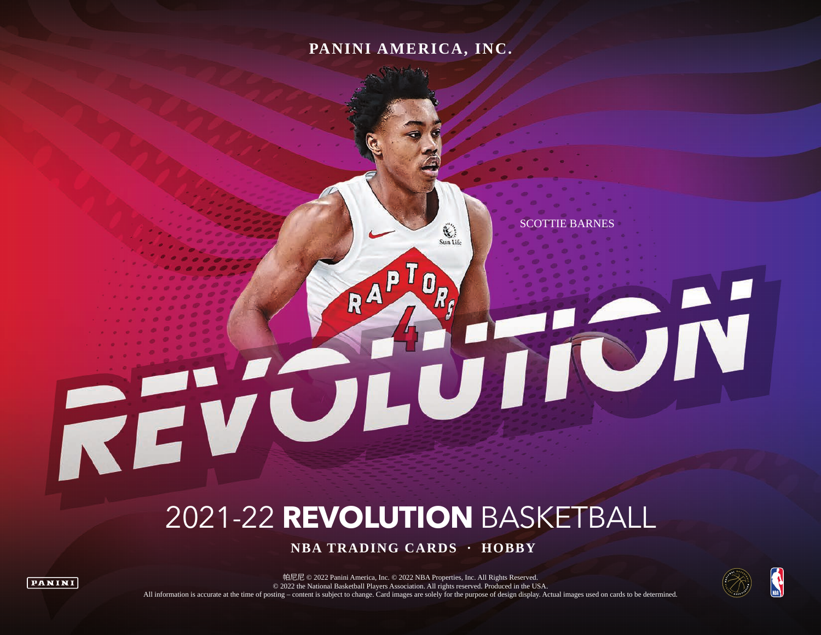### **PANINI AMERICA, INC.**

RA

 $\mathbb{C}$ Sun Life

U

SCOTTIE BARNES

 $\frac{1}{2}$ 

# 2021-22 **REVOLUTION** BASKETBALL

 **NBA TRADING CARDS · HOBBY**



REVO



ÖN

帕尼尼 © 2022 Panini America, Inc. © 2022 NBA Properties, Inc. All Rights Reserved. © 2022 the National Basketball Players Association. All rights reserved. Produced in the USA. All information is accurate at the time of posting – content is subject to change. Card images are solely for the purpose of design display. Actual images used on cards to be determined.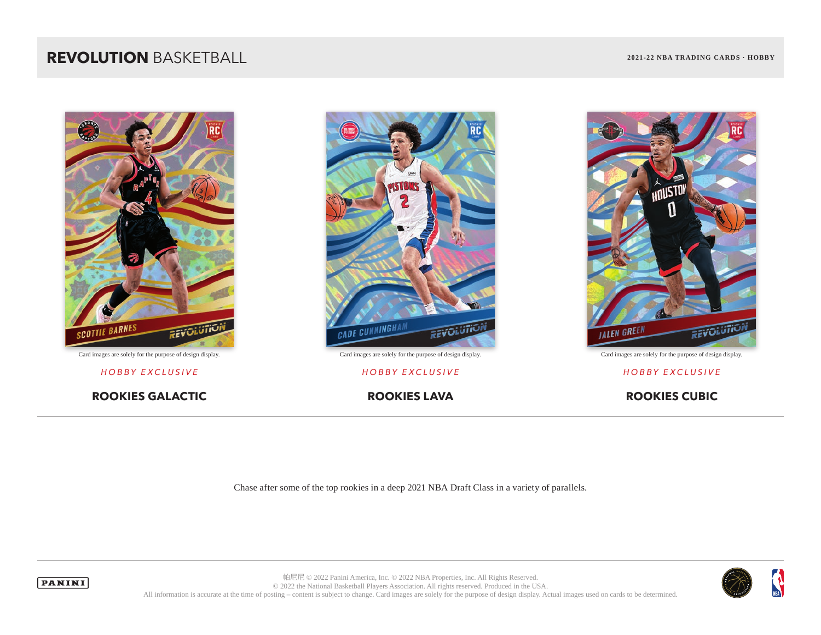### **REVOLUTION** BASKETBALL **2021-22 NBA TRADING CARDS · HOBBY**



**ROOKIES GALACTIC ROOKIES LAVA ROOKIES CUBIC**



Card images are solely for the purpose of design display. Card images are solely for the purpose of design display. Card images are solely for the purpose of design display.



#### *HOBBY EXCLUSIVE HOBBY EXCLUSIVE HOBBY EXCLUSIVE*

Chase after some of the top rookies in a deep 2021 NBA Draft Class in a variety of parallels.





帕尼尼 © 2022 Panini America, Inc. © 2022 NBA Properties, Inc. All Rights Reserved. © 2022 the National Basketball Players Association. All rights reserved. Produced in the USA. All information is accurate at the time of posting – content is subject to change. Card images are solely for the purpose of design display. Actual images used on cards to be determined.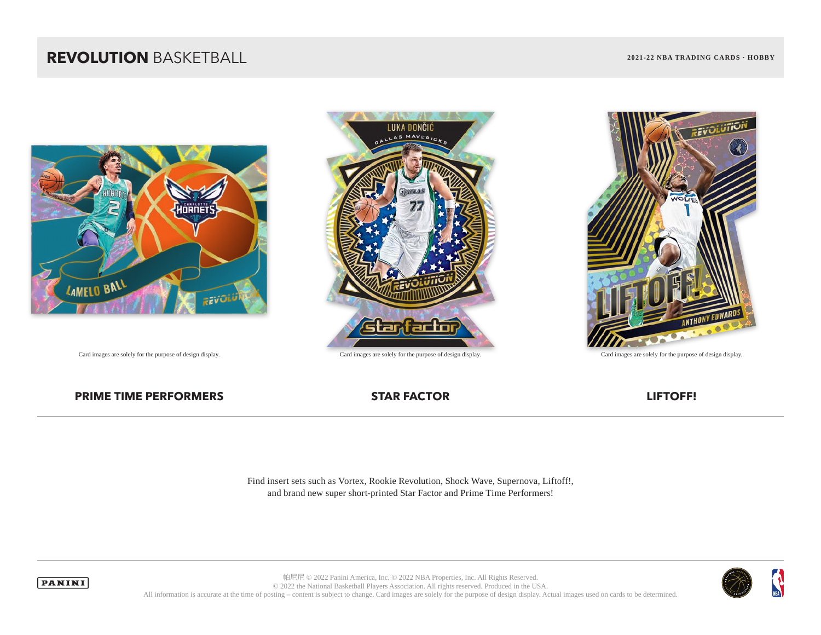### **REVOLUTION** BASKETBALL **2021-22 NBA TRADING CARDS · HOBBY**







#### **PRIME TIME PERFORMERS STAR FACTOR STAR FACTOR LIFTOFF!**

Find insert sets such as Vortex, Rookie Revolution, Shock Wave, Supernova, Liftoff!, and brand new super short-printed Star Factor and Prime Time Performers!





帕尼尼 © 2022 Panini America, Inc. © 2022 NBA Properties, Inc. All Rights Reserved. © 2022 the National Basketball Players Association. All rights reserved. Produced in the USA. All information is accurate at the time of posting – content is subject to change. Card images are solely for the purpose of design display. Actual images used on cards to be determined.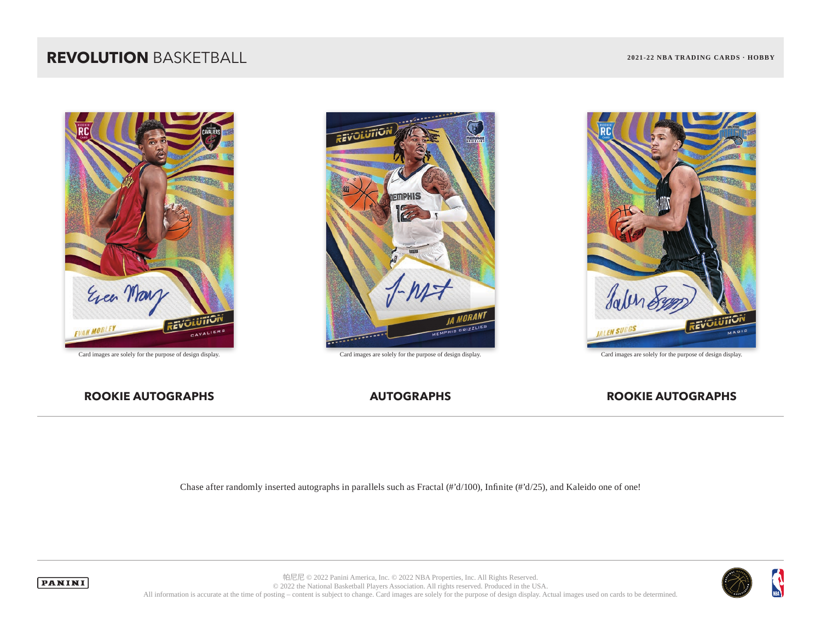### **REVOLUTION** BASKETBALL **2021-22 NBA TRADING CARDS · HOBBY**





Card images are solely for the purpose of design display. Card images are solely for the purpose of design display. Card images are solely for the purpose of design display.



#### **ROOKIE AUTOGRAPHS AUTOGRAPHS AUTOGRAPHS** AUTOGRAPHS **ROOKIE AUTOGRAPHS**

Chase after randomly inserted autographs in parallels such as Fractal (#'d/100), Infinite (#'d/25), and Kaleido one of one!





帕尼尼 © 2022 Panini America, Inc. © 2022 NBA Properties, Inc. All Rights Reserved. © 2022 the National Basketball Players Association. All rights reserved. Produced in the USA. All information is accurate at the time of posting – content is subject to change. Card images are solely for the purpose of design display. Actual images used on cards to be determined.